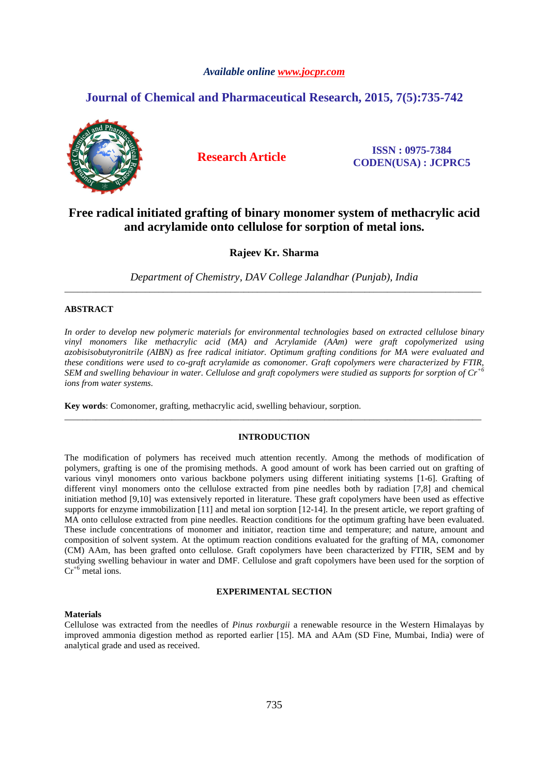# *Available online www.jocpr.com*

# **Journal of Chemical and Pharmaceutical Research, 2015, 7(5):735-742**



**Research Article ISSN : 0975-7384 CODEN(USA) : JCPRC5**

# **Free radical initiated grafting of binary monomer system of methacrylic acid and acrylamide onto cellulose for sorption of metal ions.**

# **Rajeev Kr. Sharma**

*Department of Chemistry, DAV College Jalandhar (Punjab), India*  \_\_\_\_\_\_\_\_\_\_\_\_\_\_\_\_\_\_\_\_\_\_\_\_\_\_\_\_\_\_\_\_\_\_\_\_\_\_\_\_\_\_\_\_\_\_\_\_\_\_\_\_\_\_\_\_\_\_\_\_\_\_\_\_\_\_\_\_\_\_\_\_\_\_\_\_\_\_\_\_\_\_\_\_\_\_\_\_\_\_\_\_\_

# **ABSTRACT**

*In order to develop new polymeric materials for environmental technologies based on extracted cellulose binary vinyl monomers like methacrylic acid (MA) and Acrylamide (AAm) were graft copolymerized using azobisisobutyronitrile (AIBN) as free radical initiator. Optimum grafting conditions for MA were evaluated and these conditions were used to co-graft acrylamide as comonomer. Graft copolymers were characterized by FTIR, SEM and swelling behaviour in water. Cellulose and graft copolymers were studied as supports for sorption of Cr+6 ions from water systems.* 

**Key words**: Comonomer, grafting, methacrylic acid, swelling behaviour, sorption.

## **INTRODUCTION**

\_\_\_\_\_\_\_\_\_\_\_\_\_\_\_\_\_\_\_\_\_\_\_\_\_\_\_\_\_\_\_\_\_\_\_\_\_\_\_\_\_\_\_\_\_\_\_\_\_\_\_\_\_\_\_\_\_\_\_\_\_\_\_\_\_\_\_\_\_\_\_\_\_\_\_\_\_\_\_\_\_\_\_\_\_\_\_\_\_\_\_\_\_

The modification of polymers has received much attention recently. Among the methods of modification of polymers, grafting is one of the promising methods. A good amount of work has been carried out on grafting of various vinyl monomers onto various backbone polymers using different initiating systems [1-6]. Grafting of different vinyl monomers onto the cellulose extracted from pine needles both by radiation [7,8] and chemical initiation method [9,10] was extensively reported in literature. These graft copolymers have been used as effective supports for enzyme immobilization  $[11]$  and metal ion sorption  $[12-14]$ . In the present article, we report grafting of MA onto cellulose extracted from pine needles. Reaction conditions for the optimum grafting have been evaluated. These include concentrations of monomer and initiator, reaction time and temperature; and nature, amount and composition of solvent system. At the optimum reaction conditions evaluated for the grafting of MA, comonomer (CM) AAm, has been grafted onto cellulose. Graft copolymers have been characterized by FTIR, SEM and by studying swelling behaviour in water and DMF. Cellulose and graft copolymers have been used for the sorption of  $Cr^{+6}$  metal ions.

### **EXPERIMENTAL SECTION**

### **Materials**

Cellulose was extracted from the needles of *Pinus roxburgii* a renewable resource in the Western Himalayas by improved ammonia digestion method as reported earlier [15]. MA and AAm (SD Fine, Mumbai, India) were of analytical grade and used as received.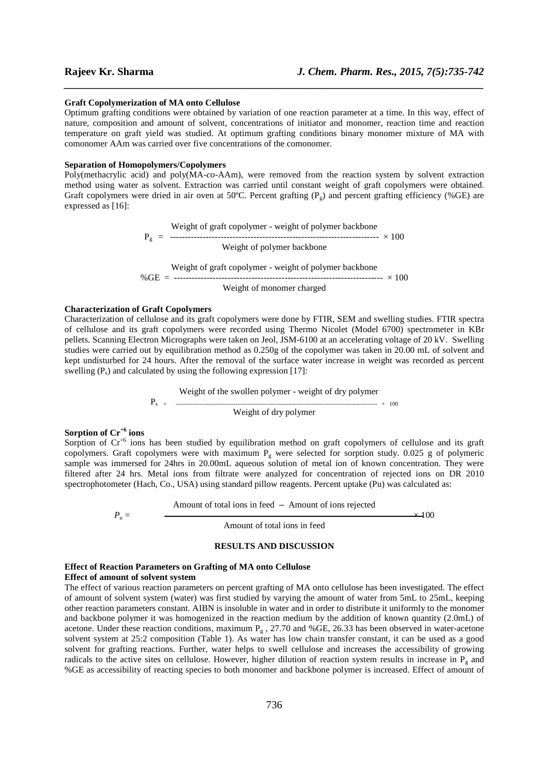### **Graft Copolymerization of MA onto Cellulose**

Optimum grafting conditions were obtained by variation of one reaction parameter at a time. In this way, effect of nature, composition and amount of solvent, concentrations of initiator and monomer, reaction time and reaction temperature on graft yield was studied. At optimum grafting conditions binary monomer mixture of MA with comonomer AAm was carried over five concentrations of the comonomer.

*\_\_\_\_\_\_\_\_\_\_\_\_\_\_\_\_\_\_\_\_\_\_\_\_\_\_\_\_\_\_\_\_\_\_\_\_\_\_\_\_\_\_\_\_\_\_\_\_\_\_\_\_\_\_\_\_\_\_\_\_\_\_\_\_\_\_\_\_\_\_\_\_\_\_\_\_\_\_*

### **Separation of Homopolymers/Copolymers**

Poly(methacrylic acid) and poly(MA-*co*-AAm), were removed from the reaction system by solvent extraction method using water as solvent. Extraction was carried until constant weight of graft copolymers were obtained. Graft copolymers were dried in air oven at 50°C. Percent grafting ( $P_g$ ) and percent grafting efficiency (%GE) are expressed as [16]:

> Weight of graft copolymer - weight of polymer backbone Pg = ---------------------------------------------------------------------- × 100 Weight of polymer backbone Weight of graft copolymer - weight of polymer backbone %GE = ---------------------------------------------------------------------- × 100 Weight of monomer charged

### **Characterization of Graft Copolymers**

Characterization of cellulose and its graft copolymers were done by FTIR, SEM and swelling studies. FTIR spectra of cellulose and its graft copolymers were recorded using Thermo Nicolet (Model 6700) spectrometer in KBr pellets. Scanning Electron Micrographs were taken on Jeol, JSM-6100 at an accelerating voltage of 20 kV. Swelling studies were carried out by equilibration method as 0.250g of the copolymer was taken in 20.00 mL of solvent and kept undisturbed for 24 hours. After the removal of the surface water increase in weight was recorded as percent swelling  $(P_s)$  and calculated by using the following expression [17]:

> Weight of the swollen polymer - weight of dry polymer Ps = -------------------------------------------------------------------------------------------------------- × 100 Weight of dry polymer

# **Sorption of Cr+6 ions**

Sorption of  $Cr^{+6}$  ions has been studied by equilibration method on graft copolymers of cellulose and its graft copolymers. Graft copolymers were with maximum  $P_g$  were selected for sorption study. 0.025 g of polymeric sample was immersed for 24hrs in 20.00mL aqueous solution of metal ion of known concentration. They were filtered after 24 hrs. Metal ions from filtrate were analyzed for concentration of rejected ions on DR 2010 spectrophotometer (Hach, Co., USA) using standard pillow reagents. Percent uptake (Pu) was calculated as:

Amount of total ions in feed – Amount of ions rejected

 $P_u = \frac{1}{2}$   $\frac{1}{2}$   $\frac{1}{2}$   $\frac{1}{2}$   $\frac{1}{2}$   $\frac{1}{2}$   $\frac{1}{2}$   $\frac{1}{2}$   $\frac{1}{2}$   $\frac{1}{2}$   $\frac{1}{2}$   $\frac{1}{2}$   $\frac{1}{2}$   $\frac{1}{2}$   $\frac{1}{2}$   $\frac{1}{2}$   $\frac{1}{2}$   $\frac{1}{2}$   $\frac{1}{2}$   $\frac{1}{2}$   $\frac{1}{2}$   $\frac{1}{2}$ 

Amount of total ions in feed

### **RESULTS AND DISCUSSION**

# **Effect of Reaction Parameters on Grafting of MA onto Cellulose**

## **Effect of amount of solvent system**

The effect of various reaction parameters on percent grafting of MA onto cellulose has been investigated. The effect of amount of solvent system (water) was first studied by varying the amount of water from 5mL to 25mL, keeping other reaction parameters constant. AIBN is insoluble in water and in order to distribute it uniformly to the monomer and backbone polymer it was homogenized in the reaction medium by the addition of known quantity (2.0mL) of acetone. Under these reaction conditions, maximum  $P_g$ , 27.70 and %GE, 26.33 has been observed in water-acetone solvent system at 25:2 composition (Table 1). As water has low chain transfer constant, it can be used as a good solvent for grafting reactions. Further, water helps to swell cellulose and increases the accessibility of growing radicals to the active sites on cellulose. However, higher dilution of reaction system results in increase in  $P_g$  and %GE as accessibility of reacting species to both monomer and backbone polymer is increased. Effect of amount of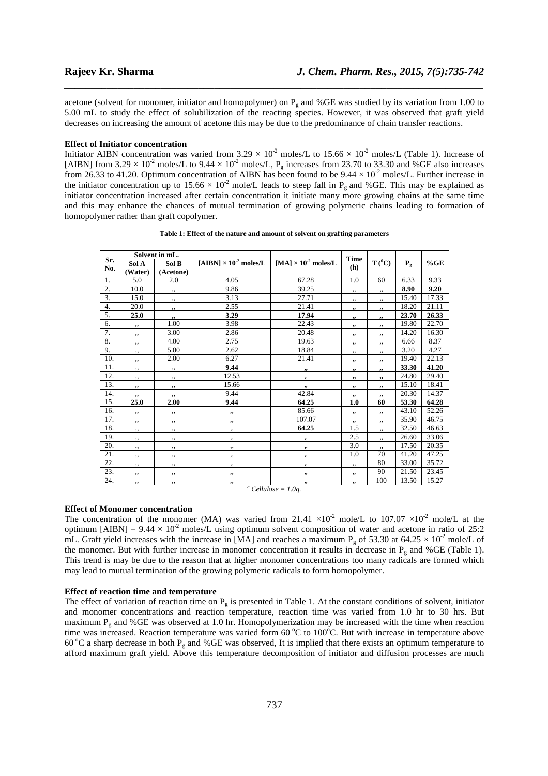acetone (solvent for monomer, initiator and homopolymer) on  $P_g$  and %GE was studied by its variation from 1.00 to 5.00 mL to study the effect of solubilization of the reacting species. However, it was observed that graft yield decreases on increasing the amount of acetone this may be due to the predominance of chain transfer reactions.

*\_\_\_\_\_\_\_\_\_\_\_\_\_\_\_\_\_\_\_\_\_\_\_\_\_\_\_\_\_\_\_\_\_\_\_\_\_\_\_\_\_\_\_\_\_\_\_\_\_\_\_\_\_\_\_\_\_\_\_\_\_\_\_\_\_\_\_\_\_\_\_\_\_\_\_\_\_\_*

### **Effect of Initiator concentration**

Initiator AIBN concentration was varied from  $3.29 \times 10^{-2}$  moles/L to  $15.66 \times 10^{-2}$  moles/L (Table 1). Increase of [AIBN] from  $3.29 \times 10^{-2}$  moles/L to  $9.44 \times 10^{-2}$  moles/L, P<sub>g</sub> increases from 23.70 to 33.30 and %GE also increases from 26.33 to 41.20. Optimum concentration of AIBN has been found to be  $9.44 \times 10^{-2}$  moles/L. Further increase in the initiator concentration up to  $15.66 \times 10^{-2}$  mole/L leads to steep fall in P<sub>g</sub> and %GE. This may be explained as initiator concentration increased after certain concentration it initiate many more growing chains at the same time and this may enhance the chances of mutual termination of growing polymeric chains leading to formation of homopolymer rather than graft copolymer.

|     |         | Solvent in mL. |                                          |                                        | <b>Time</b> | $T(^{0}C)$ |         |       |
|-----|---------|----------------|------------------------------------------|----------------------------------------|-------------|------------|---------|-------|
| Sr. | Sol A   | Sol B          | [AIBN] $\times$ 10 <sup>-2</sup> moles/L | [MA] $\times$ 10 <sup>-2</sup> moles/L |             |            | $P_{g}$ | %GE   |
| No. | (Water) | (Acetone)      |                                          |                                        | (h)         |            |         |       |
| 1.  | 5.0     | 2.0            | 4.05                                     | 67.28                                  | 1.0         | 60         | 6.33    | 9.33  |
| 2.  | 10.0    | ,,             | 9.86                                     | 39.25                                  | ,,          | ,,         | 8.90    | 9.20  |
| 3.  | 15.0    | ,,             | 3.13                                     | 27.71                                  | ,,          | ,,         | 15.40   | 17.33 |
| 4.  | 20.0    | ,,             | 2.55                                     | 21.41                                  | ,,          | ,,         | 18.20   | 21.11 |
| 5.  | 25.0    | ,,             | 3.29                                     | 17.94                                  | "           | ,          | 23.70   | 26.33 |
| 6.  | ,,      | 1.00           | 3.98                                     | 22.43                                  | ,,          | ,,         | 19.80   | 22.70 |
| 7.  | ,,      | 3.00           | 2.86                                     | 20.48                                  | , ,         | , ,        | 14.20   | 16.30 |
| 8.  | ,,      | 4.00           | 2.75                                     | 19.63                                  | ,,          | ,,         | 6.66    | 8.37  |
| 9.  | ,,      | 5.00           | 2.62                                     | 18.84                                  | ,,          | ,,         | 3.20    | 4.27  |
| 10. | ,,      | 2.00           | 6.27                                     | 21.41                                  | ,,          | ,,         | 19.40   | 22.13 |
| 11. | ,,      | ,,             | 9.44                                     | ,,                                     | , ,         | "          | 33.30   | 41.20 |
| 12. | ,,      | ,,             | 12.53                                    | ,,                                     | , 2, 3      | ,,         | 24.80   | 29.40 |
| 13. | , ,     | ,,             | 15.66                                    | , ,                                    | ,,          | ,,         | 15.10   | 18.41 |
| 14. | ,,      | ,,             | 9.44                                     | 42.84                                  | ,,          | ,,         | 20.30   | 14.37 |
| 15. | 25.0    | 2.00           | 9.44                                     | 64.25                                  | 1.0         | 60         | 53.30   | 64.28 |
| 16. | ,,      | ,,             | ,,                                       | 85.66                                  | , ,         | ,,         | 43.10   | 52.26 |
| 17. | ,,      | ,,             | ,,                                       | 107.07                                 | , ,         | ,,         | 35.90   | 46.75 |
| 18. | ,,      | ,,             | ,,                                       | 64.25                                  | 1.5         | ,,         | 32.50   | 46.63 |
| 19. | , ,     | , ,            | , ,                                      | , ,                                    | 2.5         | , ,        | 26.60   | 33.06 |
| 20. | ,,      | ,,             | ,,                                       | $, ,$                                  | 3.0         |            | 17.50   | 20.35 |
| 21. | ,,      | ,,             | ,,                                       | ,,                                     | 1.0         | 70         | 41.20   | 47.25 |
| 22. | ,,      | ,,             | ,,                                       | ,,                                     | $, ,$       | 80         | 33.00   | 35.72 |
| 23. | ,,      | ,,             | , ,                                      | , ,                                    | ,,          | 90         | 21.50   | 23.45 |
| 24. | ,,      | ,,             | ,,<br>$a \cap u$                         | , ,                                    | , ,         | 100        | 13.50   | 15.27 |

**Table 1: Effect of the nature and amount of solvent on grafting parameters** 

 $^a$  *Cellulose* = 1.0g.

### **Effect of Monomer concentration**

The concentration of the monomer (MA) was varied from 21.41  $\times 10^{-2}$  mole/L to 107.07  $\times 10^{-2}$  mole/L at the optimum [AIBN] =  $9.44 \times 10^{-2}$  moles/L using optimum solvent composition of water and acetone in ratio of 25:2 mL. Graft yield increases with the increase in [MA] and reaches a maximum P<sub>g</sub> of 53.30 at 64.25  $\times$  10<sup>-2</sup> mole/L of the monomer. But with further increase in monomer concentration it results in decrease in  $P<sub>g</sub>$  and %GE (Table 1). This trend is may be due to the reason that at higher monomer concentrations too many radicals are formed which may lead to mutual termination of the growing polymeric radicals to form homopolymer.

### **Effect of reaction time and temperature**

The effect of variation of reaction time on  $P_g$  is presented in Table 1. At the constant conditions of solvent, initiator and monomer concentrations and reaction temperature, reaction time was varied from 1.0 hr to 30 hrs. But maximum  $P_g$  and %GE was observed at 1.0 hr. Homopolymerization may be increased with the time when reaction time was increased. Reaction temperature was varied form  $60^{\circ}$ C to 100 $^{\circ}$ C. But with increase in temperature above 60 °C a sharp decrease in both  $P_g$  and %GE was observed, It is implied that there exists an optimum temperature to afford maximum graft yield. Above this temperature decomposition of initiator and diffusion processes are much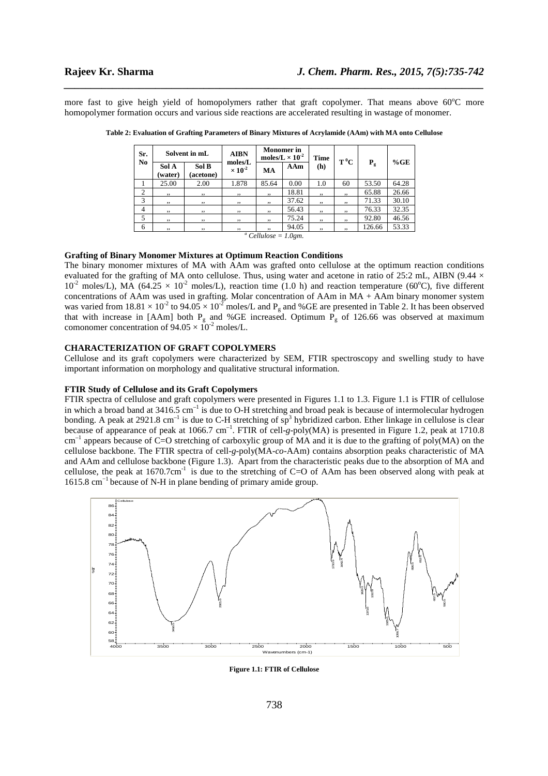more fast to give heigh yield of homopolymers rather that graft copolymer. That means above  $60^{\circ}$ C more homopolymer formation occurs and various side reactions are accelerated resulting in wastage of monomer.

*\_\_\_\_\_\_\_\_\_\_\_\_\_\_\_\_\_\_\_\_\_\_\_\_\_\_\_\_\_\_\_\_\_\_\_\_\_\_\_\_\_\_\_\_\_\_\_\_\_\_\_\_\_\_\_\_\_\_\_\_\_\_\_\_\_\_\_\_\_\_\_\_\_\_\_\_\_\_*

| Sr.<br>$\mathbf{N}\mathbf{0}$                | Solvent in mL    |                    | <b>AIBN</b>                 | <b>Monomer</b> in<br>moles/ $L \times 10^{-2}$ |       | <b>Time</b> | $T^0C$ |        | %GE   |
|----------------------------------------------|------------------|--------------------|-----------------------------|------------------------------------------------|-------|-------------|--------|--------|-------|
|                                              | Sol A<br>(water) | Sol B<br>(acetone) | moles/L<br>$\times 10^{-2}$ | MA                                             | AAm   | (h)         |        | $P_g$  |       |
|                                              | 25.00            | 2.00               | 1.878                       | 85.64                                          | 0.00  | 1.0         | 60     | 53.50  | 64.28 |
| 2                                            | , ,              | ,,                 | , ,                         | ,,                                             | 18.81 | , ,         | , ,    | 65.88  | 26.66 |
| 3                                            | , ,              | , 9                | , ,                         | , ,                                            | 37.62 | , ,         | , ,    | 71.33  | 30.10 |
| $\overline{4}$                               | , ,              | , ,                | , ,                         | , ,                                            | 56.43 | , ,         | , ,    | 76.33  | 32.35 |
| 5                                            | 55               | , ,                | , ,                         | 55                                             | 75.24 | 55          | 55     | 92.80  | 46.56 |
| 6                                            | , ,              | , ,                | ,,                          | ,,                                             | 94.05 | , ,         | , ,    | 126.66 | 53.33 |
| <sup><i>a</i></sup> Callulage – <i>I</i> Cam |                  |                    |                             |                                                |       |             |        |        |       |

**Table 2: Evaluation of Grafting Parameters of Binary Mixtures of Acrylamide (AAm) with MA onto Cellulose** 

 *Cellulose = 1.0gm.* 

# **Grafting of Binary Monomer Mixtures at Optimum Reaction Conditions**

The binary monomer mixtures of MA with AAm was grafted onto cellulose at the optimum reaction conditions evaluated for the grafting of MA onto cellulose. Thus, using water and acetone in ratio of 25:2 mL, AIBN (9.44  $\times$  $10^{-2}$  moles/L), MA (64.25  $\times$  10<sup>-2</sup> moles/L), reaction time (1.0 h) and reaction temperature (60<sup>o</sup>C), five different concentrations of AAm was used in grafting. Molar concentration of AAm in MA + AAm binary monomer system was varied from  $18.81 \times 10^{-2}$  to  $94.05 \times 10^{-2}$  moles/L and P<sub>g</sub> and %GE are presented in Table 2. It has been observed that with increase in [AAm] both  $P_g$  and %GE increased. Optimum  $P_g$  of 126.66 was observed at maximum comonomer concentration of  $94.05 \times 10^{-2}$  moles/L.

## **CHARACTERIZATION OF GRAFT COPOLYMERS**

Cellulose and its graft copolymers were characterized by SEM, FTIR spectroscopy and swelling study to have important information on morphology and qualitative structural information.

### **FTIR Study of Cellulose and its Graft Copolymers**

FTIR spectra of cellulose and graft copolymers were presented in Figures 1.1 to 1.3. Figure 1.1 is FTIR of cellulose in which a broad band at  $3416.5 \text{ cm}^{-1}$  is due to O-H stretching and broad peak is because of intermolecular hydrogen bonding. A peak at 2921.8 cm<sup>-1</sup> is due to C-H stretching of  $sp^3$  hybridized carbon. Ether linkage in cellulose is clear because of appearance of peak at 1066.7 cm<sup>-1</sup>. FTIR of cell-g-poly(MA) is presented in Figure 1.2, peak at 1710.8 cm<sup>-1</sup> appears because of C=O stretching of carboxylic group of MA and it is due to the grafting of poly(MA) on the cellulose backbone. The FTIR spectra of cell-*g*-poly(MA-*co*-AAm) contains absorption peaks characteristic of MA and AAm and cellulose backbone (Figure 1.3). Apart from the characteristic peaks due to the absorption of MA and cellulose, the peak at  $1670.7cm^{-1}$  is due to the stretching of C=O of AAm has been observed along with peak at 1615.8 cm−1 because of N-H in plane bending of primary amide group.



**Figure 1.1: FTIR of Cellulose**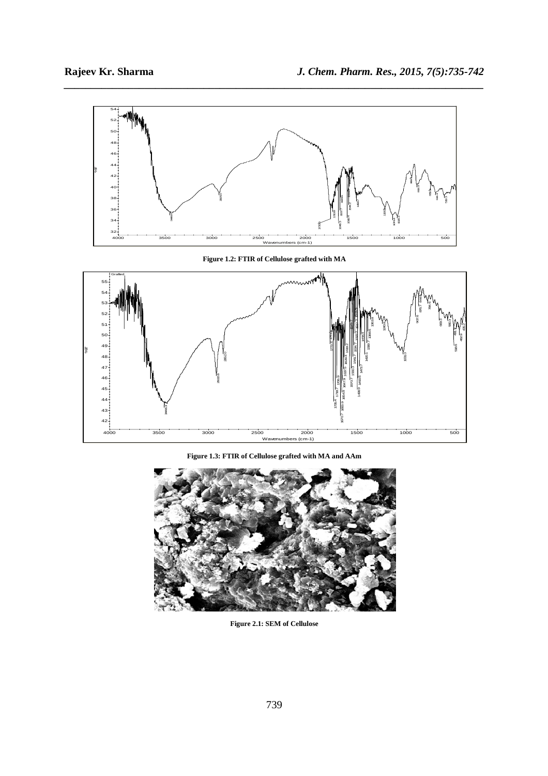

*\_\_\_\_\_\_\_\_\_\_\_\_\_\_\_\_\_\_\_\_\_\_\_\_\_\_\_\_\_\_\_\_\_\_\_\_\_\_\_\_\_\_\_\_\_\_\_\_\_\_\_\_\_\_\_\_\_\_\_\_\_\_\_\_\_\_\_\_\_\_\_\_\_\_\_\_\_\_*

**Figure 1.2: FTIR of Cellulose grafted with MA** 



**Figure 1.3: FTIR of Cellulose grafted with MA and AAm** 



**Figure 2.1: SEM of Cellulose**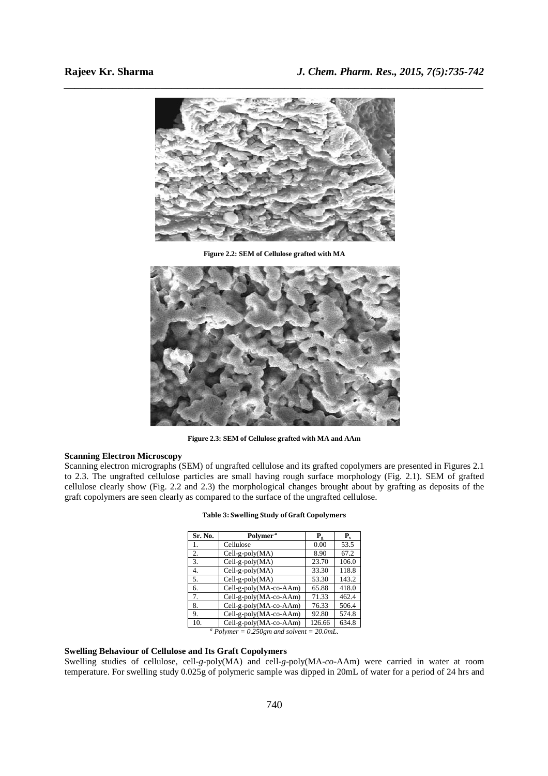

**Figure 2.2: SEM of Cellulose grafted with MA** 



**Figure 2.3: SEM of Cellulose grafted with MA and AAm** 

# **Scanning Electron Microscopy**

Scanning electron micrographs (SEM) of ungrafted cellulose and its grafted copolymers are presented in Figures 2.1 to 2.3. The ungrafted cellulose particles are small having rough surface morphology (Fig. 2.1). SEM of grafted cellulose clearly show (Fig. 2.2 and 2.3) the morphological changes brought about by grafting as deposits of the graft copolymers are seen clearly as compared to the surface of the ungrafted cellulose.

| Sr. No.                                                    | Polymer <sup>a</sup>   | P <sub>g</sub> | ${\bf P_s}$ |  |  |  |  |
|------------------------------------------------------------|------------------------|----------------|-------------|--|--|--|--|
| 1.                                                         | Cellulose              | 0.00           | 53.5        |  |  |  |  |
| 2.                                                         | $Cell-g-poly(MA)$      | 8.90           | 67.2        |  |  |  |  |
| 3.                                                         | Cell-g-poly(MA)        | 23.70          | 106.0       |  |  |  |  |
| 4.                                                         | $Cell-g-poly(MA)$      | 33.30          | 118.8       |  |  |  |  |
| 5.                                                         | $Cell-g-poly(MA)$      | 53.30          | 143.2       |  |  |  |  |
| 6.                                                         | Cell-g-poly(MA-co-AAm) | 65.88          | 418.0       |  |  |  |  |
| 7.                                                         | Cell-g-poly(MA-co-AAm) | 71.33          | 462.4       |  |  |  |  |
| 8.                                                         | Cell-g-poly(MA-co-AAm) | 76.33          | 506.4       |  |  |  |  |
| 9.                                                         | Cell-g-poly(MA-co-AAm) | 92.80          | 574.8       |  |  |  |  |
| 10.                                                        | Cell-g-poly(MA-co-AAm) | 126.66         | 634.8       |  |  |  |  |
| <sup><i>a</i></sup> Dolymar – 0.250am and solvent – 20.0mL |                        |                |             |  |  |  |  |

**Table 3: Swelling Study of Graft Copolymers** 

 *Polymer = 0.250gm and solvent = 20.0mL.* 

# **Swelling Behaviour of Cellulose and Its Graft Copolymers**

Swelling studies of cellulose, cell-*g*-poly(MA) and cell-*g*-poly(MA-*co*-AAm) were carried in water at room temperature. For swelling study 0.025g of polymeric sample was dipped in 20mL of water for a period of 24 hrs and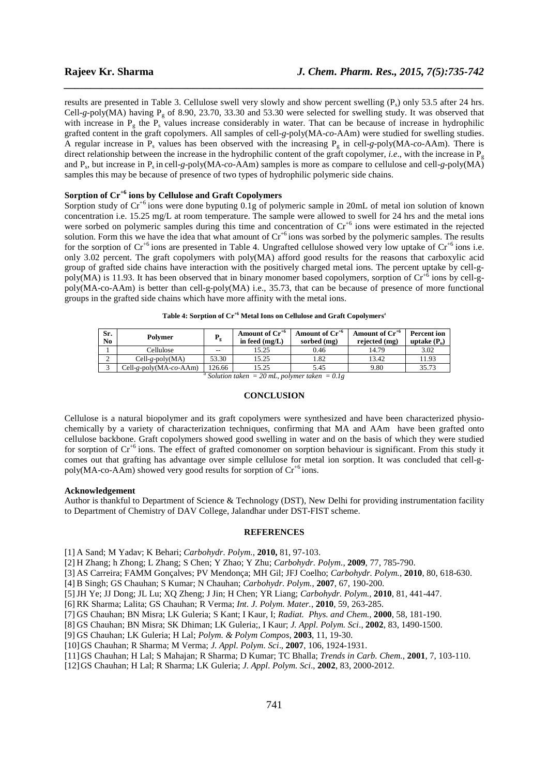results are presented in Table 3. Cellulose swell very slowly and show percent swelling  $(P_s)$  only 53.5 after 24 hrs. Cell- $g$ -poly(MA) having  $P_g$  of 8.90, 23.70, 33.30 and 53.30 were selected for swelling study. It was observed that with increase in  $P_g$  the  $P_s$  values increase considerably in water. That can be because of increase in hydrophilic grafted content in the graft copolymers. All samples of cell-*g*-poly(MA-*co*-AAm) were studied for swelling studies. A regular increase in  $P_s$  values has been observed with the increasing  $P_g$  in cell-*g*-poly(MA-*co*-AAm). There is direct relationship between the increase in the hydrophilic content of the graft copolymer, *i.e.*, with the increase in  $P_{\circ}$ and P<sup>s</sup> , but increase in Ps in cell-*g*-poly(MA-*co*-AAm) samples is more as compare to cellulose and cell-*g*-poly(MA) samples this may be because of presence of two types of hydrophilic polymeric side chains.

*\_\_\_\_\_\_\_\_\_\_\_\_\_\_\_\_\_\_\_\_\_\_\_\_\_\_\_\_\_\_\_\_\_\_\_\_\_\_\_\_\_\_\_\_\_\_\_\_\_\_\_\_\_\_\_\_\_\_\_\_\_\_\_\_\_\_\_\_\_\_\_\_\_\_\_\_\_\_*

# **Sorption of Cr+6 ions by Cellulose and Graft Copolymers**

Sorption study of  $Cr^{+6}$  ions were done byputing 0.1g of polymeric sample in 20mL of metal ion solution of known concentration i.e. 15.25 mg/L at room temperature. The sample were allowed to swell for 24 hrs and the metal ions were sorbed on polymeric samples during this time and concentration of Cr<sup>+6</sup> ions were estimated in the rejected solution. Form this we have the idea that what amount of  $Cr^{+6}$  ions was sorbed by the polymeric samples. The results for the sorption of  $Cr^{+6}$  ions are presented in Table 4. Ungrafted cellulose showed very low uptake of  $Cr^{+6}$  ions i.e. only 3.02 percent. The graft copolymers with poly(MA) afford good results for the reasons that carboxylic acid group of grafted side chains have interaction with the positively charged metal ions. The percent uptake by cell-gpoly(MA) is 11.93. It has been observed that in binary monomer based copolymers, sorption of  $\text{Cr}^{+6}$  ions by cell-gpoly(MA-co-AAm) is better than cell-g-poly(MA) i.e., 35.73, that can be because of presence of more functional groups in the grafted side chains which have more affinity with the metal ions.

| Sr.<br>N <sub>0</sub>                                                          | Polymer                | Р,     | Amount of Cr <sup>+6</sup><br>in feed $(mg/L)$ | Amount of Cr <sup>+6</sup><br>sorbed (mg) | Amount of $Cr^{+6}$<br>rejected (mg) | <b>Percent</b> ion<br>uptake $(P_n)$ |  |
|--------------------------------------------------------------------------------|------------------------|--------|------------------------------------------------|-------------------------------------------|--------------------------------------|--------------------------------------|--|
|                                                                                | Cellulose              | $-$    | 15.25                                          | 0.46                                      | 14.79                                | 3.02                                 |  |
|                                                                                | $Cell-g-poly(MA)$      | 53.30  | 15.25                                          | 1.82                                      | 13.42                                | 11.93                                |  |
|                                                                                | Cell-g-poly(MA-co-AAm) | 126.66 | 15.25                                          | 5.45                                      | 9.80                                 | 35.73                                |  |
| <sup><math>a \text{ C}olution taken = 20</math> mL not manufation = 0.10</sup> |                        |        |                                                |                                           |                                      |                                      |  |

| Table 4: Sorption of Cr <sup>+6</sup> Metal Ions on Cellulose and Graft Copolymers <sup>a</sup> |  |  |  |  |
|-------------------------------------------------------------------------------------------------|--|--|--|--|
|-------------------------------------------------------------------------------------------------|--|--|--|--|

 *Solution taken = 20 mL, polymer taken = 0.1g* 

### **CONCLUSION**

Cellulose is a natural biopolymer and its graft copolymers were synthesized and have been characterized physiochemically by a variety of characterization techniques, confirming that MA and AAm have been grafted onto cellulose backbone. Graft copolymers showed good swelling in water and on the basis of which they were studied for sorption of  $Cr^{+6}$  ions. The effect of grafted comonomer on sorption behaviour is significant. From this study it comes out that grafting has advantage over simple cellulose for metal ion sorption. It was concluded that cell-gpoly(MA-co-AAm) showed very good results for sorption of  $Cr^{+6}$  ions.

### **Acknowledgement**

Author is thankful to Department of Science & Technology (DST), New Delhi for providing instrumentation facility to Department of Chemistry of DAV College, Jalandhar under DST-FIST scheme.

## **REFERENCES**

[1] A Sand; M Yadav; K Behari; *Carbohydr. Polym.,* **2010,** 81, 97-103.

[2] H Zhang; h Zhong; L Zhang; S Chen; Y Zhao; Y Zhu; *Carbohydr. Polym.,* **2009**, 77, 785-790.

[3] AS Carreira; FAMM Gonçalves; PV Mendonça; MH Gil; JFJ Coelho; *Carbohydr. Polym.,* **2010**, 80, 618-630.

[4] B Singh; GS Chauhan; S Kumar; N Chauhan; *Carbohydr. Polym.*, **2007**, 67, 190-200.

[5]JH Ye; JJ Dong; JL Lu; XQ Zheng; J Jin; H Chen; YR Liang; *Carbohydr. Polym.,* **2010**, 81, 441-447.

[6] RK Sharma; Lalita; GS Chauhan; R Verma; *Int. J. Polym. Mater.,* **2010**, 59, 263-285.

- [7] GS Chauhan; BN Misra; LK Guleria; S Kant; I Kaur, I; *Radiat. Phys. and Chem.,* **2000**, 58, 181-190.
- [8] GS Chauhan; BN Misra; SK Dhiman; LK Guleria;, I Kaur; *J. Appl. Polym. Sci*., **2002**, 83, 1490-1500.

[9] GS Chauhan; LK Guleria; H Lal; *Polym. & Polym Compos*, **2003**, 11, 19-30.

[10]GS Chauhan; R Sharma; M Verma; *J. Appl. Polym. Sci*., **2007**, 106, 1924-1931.

- [11]GS Chauhan; H Lal; S Mahajan; R Sharma; D Kumar; TC Bhalla; *Trends in Carb. Chem.*, **2001**, 7, 103-110.
- [12]GS Chauhan; H Lal; R Sharma; LK Guleria; *J. Appl. Polym. Sci*., **2002**, 83, 2000-2012.